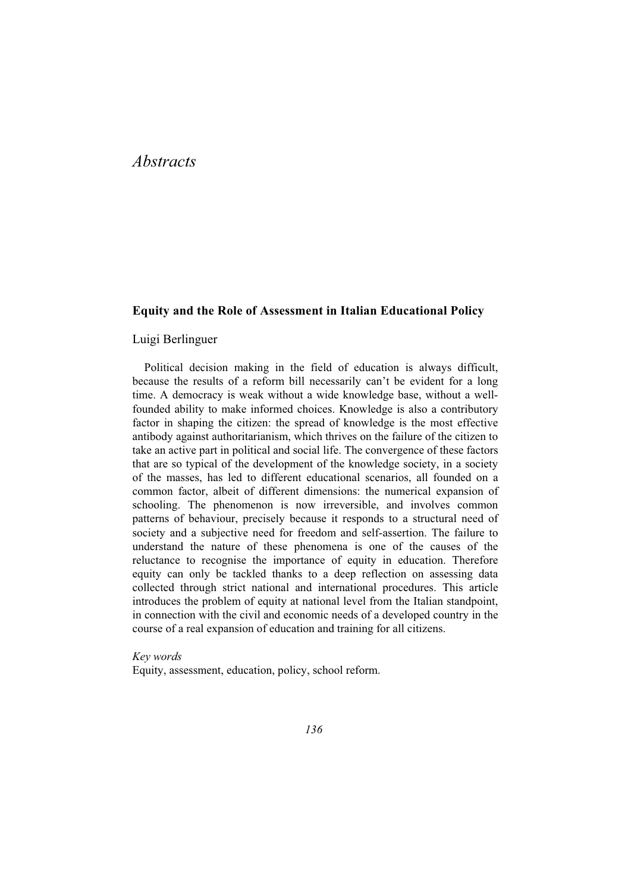# *Abstracts*

### **Equity and the Role of Assessment in Italian Educational Policy**

### Luigi Berlinguer

Political decision making in the field of education is always difficult, because the results of a reform bill necessarily can't be evident for a long time. A democracy is weak without a wide knowledge base, without a wellfounded ability to make informed choices. Knowledge is also a contributory factor in shaping the citizen: the spread of knowledge is the most effective antibody against authoritarianism, which thrives on the failure of the citizen to take an active part in political and social life. The convergence of these factors that are so typical of the development of the knowledge society, in a society of the masses, has led to different educational scenarios, all founded on a common factor, albeit of different dimensions: the numerical expansion of schooling. The phenomenon is now irreversible, and involves common patterns of behaviour, precisely because it responds to a structural need of society and a subjective need for freedom and self-assertion. The failure to understand the nature of these phenomena is one of the causes of the reluctance to recognise the importance of equity in education. Therefore equity can only be tackled thanks to a deep reflection on assessing data collected through strict national and international procedures. This article introduces the problem of equity at national level from the Italian standpoint, in connection with the civil and economic needs of a developed country in the course of a real expansion of education and training for all citizens.

*Key words*  Equity, assessment, education, policy, school reform.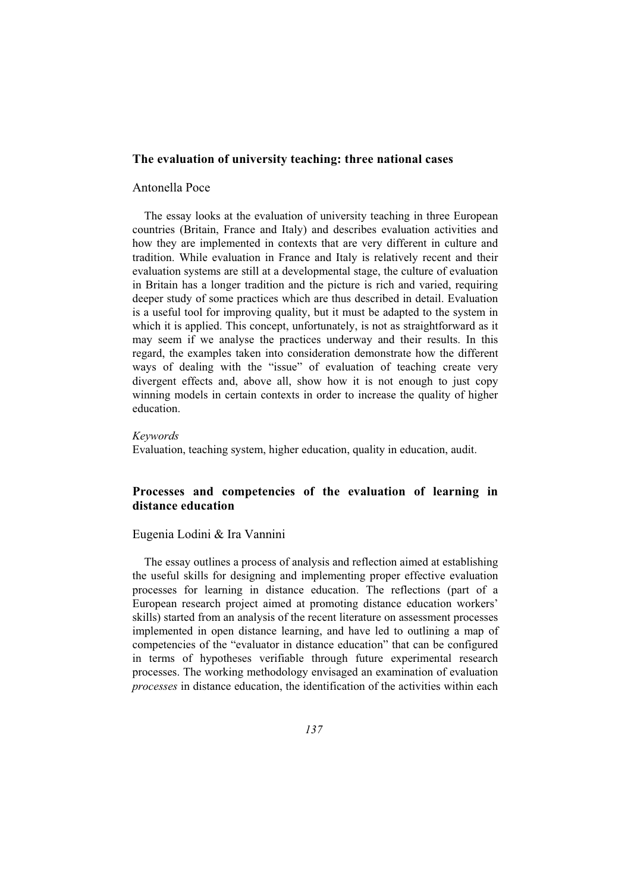### **The evaluation of university teaching: three national cases**

### Antonella Poce

The essay looks at the evaluation of university teaching in three European countries (Britain, France and Italy) and describes evaluation activities and how they are implemented in contexts that are very different in culture and tradition. While evaluation in France and Italy is relatively recent and their evaluation systems are still at a developmental stage, the culture of evaluation in Britain has a longer tradition and the picture is rich and varied, requiring deeper study of some practices which are thus described in detail. Evaluation is a useful tool for improving quality, but it must be adapted to the system in which it is applied. This concept, unfortunately, is not as straightforward as it may seem if we analyse the practices underway and their results. In this regard, the examples taken into consideration demonstrate how the different ways of dealing with the "issue" of evaluation of teaching create very divergent effects and, above all, show how it is not enough to just copy winning models in certain contexts in order to increase the quality of higher education.

### *Keywords*

Evaluation, teaching system, higher education, quality in education, audit.

## **Processes and competencies of the evaluation of learning in distance education**

### Eugenia Lodini & Ira Vannini

The essay outlines a process of analysis and reflection aimed at establishing the useful skills for designing and implementing proper effective evaluation processes for learning in distance education. The reflections (part of a European research project aimed at promoting distance education workers' skills) started from an analysis of the recent literature on assessment processes implemented in open distance learning, and have led to outlining a map of competencies of the "evaluator in distance education" that can be configured in terms of hypotheses verifiable through future experimental research processes. The working methodology envisaged an examination of evaluation *processes* in distance education, the identification of the activities within each